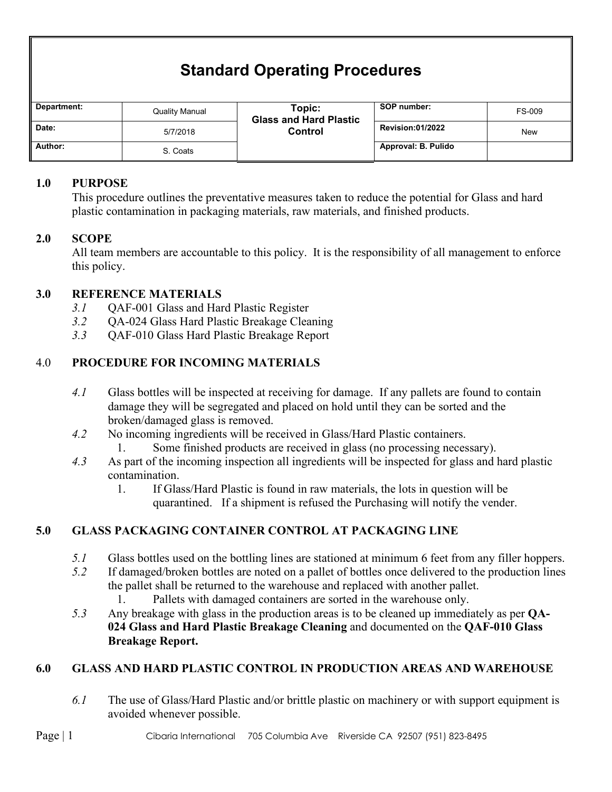# **Standard Operating Procedures**

| Department: | <b>Quality Manual</b> | Topic:<br><b>Glass and Hard Plastic</b><br>Control | SOP number:             | <b>FS-009</b> |
|-------------|-----------------------|----------------------------------------------------|-------------------------|---------------|
| Date:       | 5/7/2018              |                                                    | <b>Revision:01/2022</b> | <b>New</b>    |
| Author:     | S. Coats              |                                                    | Approval: B. Pulido     |               |

### **1.0 PURPOSE**

This procedure outlines the preventative measures taken to reduce the potential for Glass and hard plastic contamination in packaging materials, raw materials, and finished products.

## **2.0 SCOPE**

All team members are accountable to this policy. It is the responsibility of all management to enforce this policy.

## **3.0 REFERENCE MATERIALS**

- *3.1* QAF-001 Glass and Hard Plastic Register
- *3.2* QA-024 Glass Hard Plastic Breakage Cleaning
- *3.3* QAF-010 Glass Hard Plastic Breakage Report

## 4.0 **PROCEDURE FOR INCOMING MATERIALS**

- *4.1* Glass bottles will be inspected at receiving for damage. If any pallets are found to contain damage they will be segregated and placed on hold until they can be sorted and the broken/damaged glass is removed.
- *4.2* No incoming ingredients will be received in Glass/Hard Plastic containers.
	- 1. Some finished products are received in glass (no processing necessary).
- *4.3* As part of the incoming inspection all ingredients will be inspected for glass and hard plastic contamination.
	- 1. If Glass/Hard Plastic is found in raw materials, the lots in question will be quarantined. If a shipment is refused the Purchasing will notify the vender.

## **5.0 GLASS PACKAGING CONTAINER CONTROL AT PACKAGING LINE**

- *5.1* Glass bottles used on the bottling lines are stationed at minimum 6 feet from any filler hoppers.
- *5.2* If damaged/broken bottles are noted on a pallet of bottles once delivered to the production lines the pallet shall be returned to the warehouse and replaced with another pallet.
	- 1. Pallets with damaged containers are sorted in the warehouse only.
- *5.3* Any breakage with glass in the production areas is to be cleaned up immediately as per **QA-024 Glass and Hard Plastic Breakage Cleaning** and documented on the **QAF-010 Glass Breakage Report.**

## **6.0 GLASS AND HARD PLASTIC CONTROL IN PRODUCTION AREAS AND WAREHOUSE**

*6.1* The use of Glass/Hard Plastic and/or brittle plastic on machinery or with support equipment is avoided whenever possible.